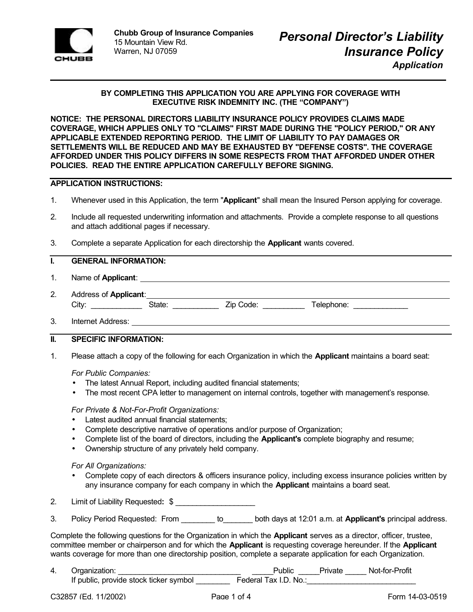

## **BY COMPLETING THIS APPLICATION YOU ARE APPLYING FOR COVERAGE WITH EXECUTIVE RISK INDEMNITY INC. (THE "COMPANY")**

**NOTICE: THE PERSONAL DIRECTORS LIABILITY INSURANCE POLICY PROVIDES CLAIMS MADE COVERAGE, WHICH APPLIES ONLY TO "CLAIMS" FIRST MADE DURING THE "POLICY PERIOD," OR ANY APPLICABLE EXTENDED REPORTING PERIOD. THE LIMIT OF LIABILITY TO PAY DAMAGES OR SETTLEMENTS WILL BE REDUCED AND MAY BE EXHAUSTED BY "DEFENSE COSTS". THE COVERAGE AFFORDED UNDER THIS POLICY DIFFERS IN SOME RESPECTS FROM THAT AFFORDED UNDER OTHER POLICIES. READ THE ENTIRE APPLICATION CAREFULLY BEFORE SIGNING.**

### **APPLICATION INSTRUCTIONS:**

- 1. Whenever used in this Application, the term "**Applicant**" shall mean the Insured Person applying for coverage.
- 2. Include all requested underwriting information and attachments. Provide a complete response to all questions and attach additional pages if necessary.
- 3. Complete a separate Application for each directorship the **Applicant** wants covered.

## **I. GENERAL INFORMATION:**

- 1. Name of **Applicant**:
- 2. Address of **Applicant**: City: \_\_\_\_\_\_\_\_\_\_\_\_ State: \_\_\_\_\_\_\_\_\_\_\_ Zip Code: \_\_\_\_\_\_\_\_\_\_ Telephone: \_\_\_\_\_\_\_\_\_\_\_\_\_
- 3. Internet Address:

### **II. SPECIFIC INFORMATION:**

1. Please attach a copy of the following for each Organization in which the **Applicant** maintains a board seat:

#### *For Public Companies:*

- The latest Annual Report, including audited financial statements;
- The most recent CPA letter to management on internal controls, together with management's response*.*

#### *For Private & Not-For-Profit Organizations:*

- Latest audited annual financial statements;
- Complete descriptive narrative of operations and/or purpose of Organization;
- Complete list of the board of directors, including the **Applicant's** complete biography and resume;
- Ownership structure of any privately held company.

#### *For All Organizations:*

- Complete copy of each directors & officers insurance policy, including excess insurance policies written by any insurance company for each company in which the **Applicant** maintains a board seat.
- 2. Limit of Liability Requested**:** \$ \_\_\_\_\_\_\_\_\_\_\_\_\_\_\_\_\_\_\_
- 3. Policy Period Requested: From \_\_\_\_\_\_\_\_ to\_\_\_\_\_\_\_ both days at 12:01 a.m. at **Applicant's** principal address.

Complete the following questions for the Organization in which the **Applicant** serves as a director, officer, trustee, committee member or chairperson and for which the **Applicant** is requesting coverage hereunder. If the **Applicant** wants coverage for more than one directorship position, complete a separate application for each Organization.

4. Organization: \_\_\_\_\_\_\_\_\_\_\_\_\_\_\_\_\_\_\_\_\_\_\_\_\_\_\_\_\_ \_\_\_\_\_Public \_\_\_\_\_Private \_\_\_\_\_ Not-for-Profit If public, provide stock ticker symbol \_\_\_\_\_\_\_\_\_\_\_\_\_ Federal Tax I.D. No.:\_\_\_\_\_\_\_\_\_\_\_\_\_\_\_\_\_\_\_\_\_\_\_\_\_\_\_\_\_\_\_\_\_\_\_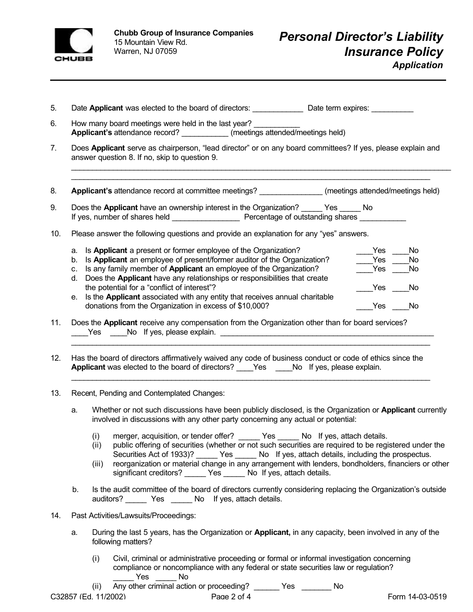

|  | Date Applicant was elected to the board of directors: | Date term expires: |  |
|--|-------------------------------------------------------|--------------------|--|
|  |                                                       |                    |  |

- 6. How many board meetings were held in the last year? **Applicant's** attendance record? \_\_\_\_\_\_\_\_\_\_\_ (meetings attended/meetings held)
- 7. Does **Applicant** serve as chairperson, "lead director" or on any board committees? If yes, please explain and answer question 8. If no, skip to question 9.

\_\_\_\_\_\_\_\_\_\_\_\_\_\_\_\_\_\_\_\_\_\_\_\_\_\_\_\_\_\_\_\_\_\_\_\_\_\_\_\_\_\_\_\_\_\_\_\_\_\_\_\_\_\_\_\_\_\_\_\_\_\_\_\_\_\_\_\_\_\_\_\_\_\_\_\_\_\_\_\_\_\_\_\_\_\_\_\_\_\_\_ \_\_\_\_\_\_\_\_\_\_\_\_\_\_\_\_\_\_\_\_\_\_\_\_\_\_\_\_\_\_\_\_\_\_\_\_\_\_\_\_\_\_\_\_\_\_\_\_\_\_\_\_\_\_\_\_\_\_\_\_\_\_\_\_\_\_\_\_\_\_\_\_\_\_\_\_\_\_\_\_\_\_\_\_\_\_

8. **Applicant's** attendance record at committee meetings? \_\_\_\_\_\_\_\_\_\_\_\_\_\_\_\_\_\_\_\_\_ (meetings attended/meetings held)

- 9. Does the **Applicant** have an ownership interest in the Organization? \_\_\_\_\_ Yes \_\_\_\_\_ No If yes, number of shares held \_\_\_\_\_\_\_\_\_\_\_\_\_\_\_\_\_\_\_\_\_\_\_ Percentage of outstanding shares
- 10. Please answer the following questions and provide an explanation for any "yes" answers.

|    | a. Is Applicant a present or former employee of the Organization?              | Yes  | N٥ |
|----|--------------------------------------------------------------------------------|------|----|
|    | b. Is Applicant an employee of present/former auditor of the Organization?     | Yes  | No |
|    | c. Is any family member of Applicant an employee of the Organization?          | Yes  | N٥ |
| d. | Does the Applicant have any relationships or responsibilities that create      |      |    |
|    | the potential for a "conflict of interest"?                                    | Yes  |    |
|    | e. Is the Applicant associated with any entity that receives annual charitable |      |    |
|    | donations from the Organization in excess of \$10,000?                         | es ⁄ |    |

- 11. Does the **Applicant** receive any compensation from the Organization other than for board services? Let us a let us a let us a let us a let us a let us a let us a let us a let us a let us a let us a let us a le
- 12. Has the board of directors affirmatively waived any code of business conduct or code of ethics since the **Applicant** was elected to the board of directors? Yes No If yes, please explain.

\_\_\_\_\_\_\_\_\_\_\_\_\_\_\_\_\_\_\_\_\_\_\_\_\_\_\_\_\_\_\_\_\_\_\_\_\_\_\_\_\_\_\_\_\_\_\_\_\_\_\_\_\_\_\_\_\_\_\_\_\_\_\_\_\_\_\_\_\_\_\_\_\_\_\_\_\_\_\_\_\_\_\_\_\_\_

 $\mathcal{L}_\text{max}$  , and the contribution of the contribution of the contribution of the contribution of the contribution of the contribution of the contribution of the contribution of the contribution of the contribution of t

- 13. Recent, Pending and Contemplated Changes:
	- a. Whether or not such discussions have been publicly disclosed, is the Organization or **Applicant** currently involved in discussions with any other party concerning any actual or potential:
		- (i) merger, acquisition, or tender offer? \_\_\_\_\_ Yes \_\_\_\_\_ No If yes, attach details.
		- (ii) public offering of securities (whether or not such securities are required to be registered under the Securities Act of 1933)? \_\_\_\_\_ Yes \_\_\_\_\_ No If yes, attach details, including the prospectus.
		- (iii) reorganization or material change in any arrangement with lenders, bondholders, financiers or other significant creditors? \_\_\_\_\_ Yes \_\_\_\_\_ No If yes, attach details.
	- b. Is the audit committee of the board of directors currently considering replacing the Organization's outside auditors? \_\_\_\_\_ Yes \_\_\_\_\_ No If yes, attach details.
- 14. Past Activities/Lawsuits/Proceedings:
	- a. During the last 5 years, has the Organization or **Applicant,** in any capacity, been involved in any of the following matters?
		- (i) Civil, criminal or administrative proceeding or formal or informal investigation concerning compliance or noncompliance with any federal or state securities law or regulation? Yes No

(ii) Any other criminal action or proceeding? \_\_\_\_\_\_ Yes \_\_\_\_\_\_\_ No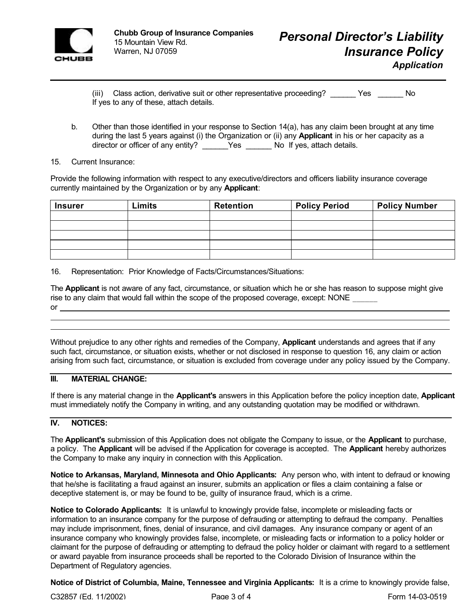

(iii) Class action, derivative suit or other representative proceeding? \_\_\_\_\_\_ Yes \_\_\_\_\_\_ No If yes to any of these, attach details.

b. Other than those identified in your response to Section 14(a), has any claim been brought at any time during the last 5 years against (i) the Organization or (ii) any **Applicant** in his or her capacity as a director or officer of any entity? \_\_\_\_\_\_Yes \_\_\_\_\_\_ No If yes, attach details.

### 15. Current Insurance:

Provide the following information with respect to any executive/directors and officers liability insurance coverage currently maintained by the Organization or by any **Applicant**:

| <b>Insurer</b> | Limits | <b>Retention</b> | <b>Policy Period</b> | <b>Policy Number</b> |
|----------------|--------|------------------|----------------------|----------------------|
|                |        |                  |                      |                      |
|                |        |                  |                      |                      |
|                |        |                  |                      |                      |
|                |        |                  |                      |                      |
|                |        |                  |                      |                      |

16. Representation: Prior Knowledge of Facts/Circumstances/Situations:

The **Applicant** is not aware of any fact, circumstance, or situation which he or she has reason to suppose might give rise to any claim that would fall within the scope of the proposed coverage, except: NONE or

Without prejudice to any other rights and remedies of the Company, **Applicant** understands and agrees that if any such fact, circumstance, or situation exists, whether or not disclosed in response to question 16, any claim or action arising from such fact, circumstance, or situation is excluded from coverage under any policy issued by the Company.

# **III. MATERIAL CHANGE:**

If there is any material change in the **Applicant's** answers in this Application before the policy inception date, **Applicant** must immediately notify the Company in writing, and any outstanding quotation may be modified or withdrawn.

## **IV. NOTICES:**

 

The **Applicant's** submission of this Application does not obligate the Company to issue, or the **Applicant** to purchase, a policy. The **Applicant** will be advised if the Application for coverage is accepted. The **Applicant** hereby authorizes the Company to make any inquiry in connection with this Application.

**Notice to Arkansas, Maryland, Minnesota and Ohio Applicants:** Any person who, with intent to defraud or knowing that he/she is facilitating a fraud against an insurer, submits an application or files a claim containing a false or deceptive statement is, or may be found to be, guilty of insurance fraud, which is a crime.

**Notice to Colorado Applicants:** It is unlawful to knowingly provide false, incomplete or misleading facts or information to an insurance company for the purpose of defrauding or attempting to defraud the company. Penalties may include imprisonment, fines, denial of insurance, and civil damages. Any insurance company or agent of an insurance company who knowingly provides false, incomplete, or misleading facts or information to a policy holder or claimant for the purpose of defrauding or attempting to defraud the policy holder or claimant with regard to a settlement or award payable from insurance proceeds shall be reported to the Colorado Division of Insurance within the Department of Regulatory agencies.

**Notice of District of Columbia, Maine, Tennessee and Virginia Applicants:** It is a crime to knowingly provide false,